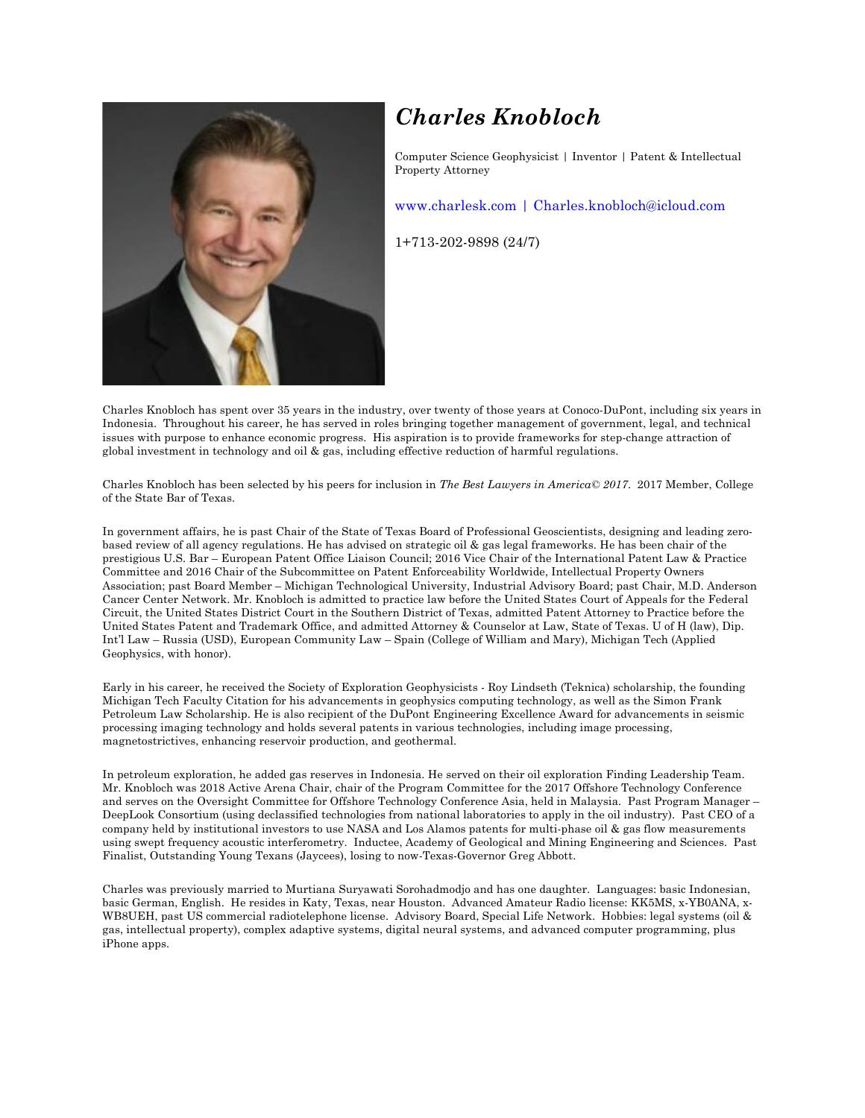

## *Charles Knobloch*

Computer Science Geophysicist | Inventor | Patent & Intellectual Property Attorney

## www.charlesk.com | Charles.knobloch@icloud.com

1+713-202-9898 (24/7)

Charles Knobloch has spent over 35 years in the industry, over twenty of those years at Conoco-DuPont, including six years in Indonesia. Throughout his career, he has served in roles bringing together management of government, legal, and technical issues with purpose to enhance economic progress. His aspiration is to provide frameworks for step-change attraction of global investment in technology and oil & gas, including effective reduction of harmful regulations.

Charles Knobloch has been selected by his peers for inclusion in *The Best Lawyers in America© 2017*. 2017 Member, College of the State Bar of Texas.

In government affairs, he is past Chair of the State of Texas Board of Professional Geoscientists, designing and leading zerobased review of all agency regulations. He has advised on strategic oil & gas legal frameworks. He has been chair of the prestigious U.S. Bar – European Patent Office Liaison Council; 2016 Vice Chair of the International Patent Law & Practice Committee and 2016 Chair of the Subcommittee on Patent Enforceability Worldwide, Intellectual Property Owners Association; past Board Member – Michigan Technological University, Industrial Advisory Board; past Chair, M.D. Anderson Cancer Center Network. Mr. Knobloch is admitted to practice law before the United States Court of Appeals for the Federal Circuit, the United States District Court in the Southern District of Texas, admitted Patent Attorney to Practice before the United States Patent and Trademark Office, and admitted Attorney & Counselor at Law, State of Texas. U of H (law), Dip. Int'l Law – Russia (USD), European Community Law – Spain (College of William and Mary), Michigan Tech (Applied Geophysics, with honor).

Early in his career, he received the Society of Exploration Geophysicists - Roy Lindseth (Teknica) scholarship, the founding Michigan Tech Faculty Citation for his advancements in geophysics computing technology, as well as the Simon Frank Petroleum Law Scholarship. He is also recipient of the DuPont Engineering Excellence Award for advancements in seismic processing imaging technology and holds several patents in various technologies, including image processing, magnetostrictives, enhancing reservoir production, and geothermal.

In petroleum exploration, he added gas reserves in Indonesia. He served on their oil exploration Finding Leadership Team. Mr. Knobloch was 2018 Active Arena Chair, chair of the Program Committee for the 2017 Offshore Technology Conference and serves on the Oversight Committee for Offshore Technology Conference Asia, held in Malaysia. Past Program Manager – DeepLook Consortium (using declassified technologies from national laboratories to apply in the oil industry). Past CEO of a company held by institutional investors to use NASA and Los Alamos patents for multi-phase oil & gas flow measurements using swept frequency acoustic interferometry. Inductee, Academy of Geological and Mining Engineering and Sciences. Past Finalist, Outstanding Young Texans (Jaycees), losing to now-Texas-Governor Greg Abbott.

Charles was previously married to Murtiana Suryawati Sorohadmodjo and has one daughter. Languages: basic Indonesian, basic German, English. He resides in Katy, Texas, near Houston. Advanced Amateur Radio license: KK5MS, x-YB0ANA, x-WB8UEH, past US commercial radiotelephone license. Advisory Board, Special Life Network. Hobbies: legal systems (oil & gas, intellectual property), complex adaptive systems, digital neural systems, and advanced computer programming, plus iPhone apps.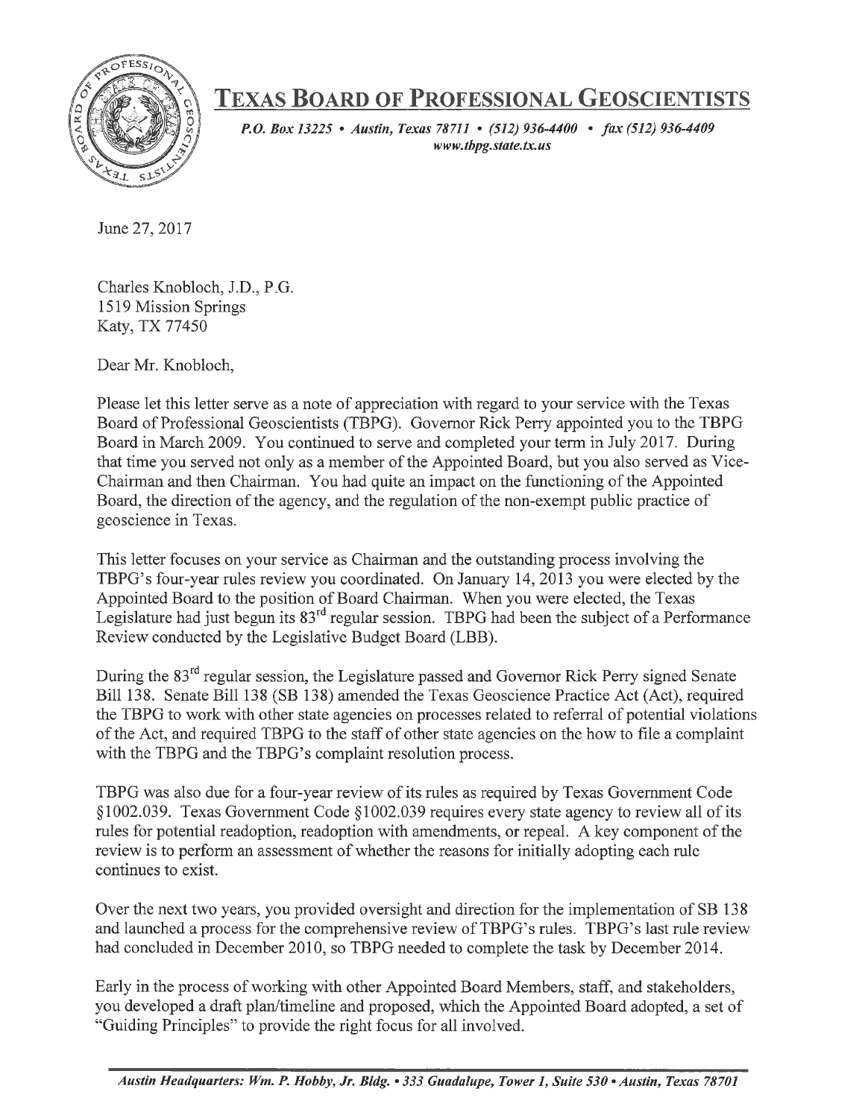

## **TEXAS BOARD OF PROFESSIONAL GEOSCIENTISTS**

P.O. Box 13225 • Austin, Texas 78711 • (512) 936-4400 • fax (512) 936-4409 www.tbpg.state.tx.us

June 27, 2017

Charles Knobloch, J.D., P.G. 1519 Mission Springs Katy, TX 77450

Dear Mr. Knobloch,

Please let this letter serve as a note of appreciation with regard to your service with the Texas Board of Professional Geoscientists (TBPG). Governor Rick Perry appointed you to the TBPG Board in March 2009. You continued to serve and completed your term in July 2017. During that time you served not only as a member of the Appointed Board, but you also served as Vice-Chairman and then Chairman. You had quite an impact on the functioning of the Appointed Board, the direction of the agency, and the regulation of the non-exempt public practice of geoscience in Texas.

This letter focuses on your service as Chairman and the outstanding process involving the TBPG's four-year rules review you coordinated. On January 14, 2013 you were elected by the Appointed Board to the position of Board Chairman. When you were elected, the Texas Legislature had just begun its 83<sup>rd</sup> regular session. TBPG had been the subject of a Performance Review conducted by the Legislative Budget Board (LBB).

During the 83<sup>rd</sup> regular session, the Legislature passed and Governor Rick Perry signed Senate Bill 138. Senate Bill 138 (SB 138) amended the Texas Geoscience Practice Act (Act), required the TBPG to work with other state agencies on processes related to referral of potential violations of the Act, and required TBPG to the staff of other state agencies on the how to file a complaint with the TBPG and the TBPG's complaint resolution process.

TBPG was also due for a four-year review of its rules as required by Texas Government Code §1002.039. Texas Government Code §1002.039 requires every state agency to review all of its rules for potential readoption, readoption with amendments, or repeal. A key component of the review is to perform an assessment of whether the reasons for initially adopting each rule continues to exist.

Over the next two years, you provided oversight and direction for the implementation of SB 138 and launched a process for the comprehensive review of TBPG's rules. TBPG's last rule review had concluded in December 2010, so TBPG needed to complete the task by December 2014.

Early in the process of working with other Appointed Board Members, staff, and stakeholders, you developed a draft plan/timeline and proposed, which the Appointed Board adopted, a set of "Guiding Principles" to provide the right focus for all involved.